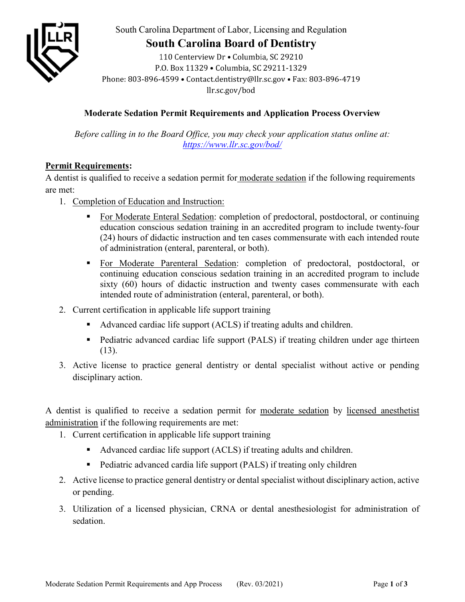

South Carolina Department of Labor, Licensing and Regulation

# **South Carolina Board of Dentistry**

110 Centerview Dr . Columbia, SC 29210 P.O. Box 11329 . Columbia, SC 29211-1329 Phone: 803-896-4599 · Contact.dentistry@llr.sc.gov · Fax: 803-896-4719 llr.sc.gov/bod

## **Moderate Sedation Permit Requirements and Application Process Overview**

*Before calling in to the Board Office, you may check your application status online at: <https://www.llr.sc.gov/bod/>*

## **Permit Requirements:**

A dentist is qualified to receive a sedation permit for moderate sedation if the following requirements are met:

- 1. Completion of Education and Instruction:
	- For Moderate Enteral Sedation: completion of predoctoral, postdoctoral, or continuing education conscious sedation training in an accredited program to include twenty-four (24) hours of didactic instruction and ten cases commensurate with each intended route of administration (enteral, parenteral, or both).
	- **For Moderate Parenteral Sedation:** completion of predoctoral, postdoctoral, or continuing education conscious sedation training in an accredited program to include sixty (60) hours of didactic instruction and twenty cases commensurate with each intended route of administration (enteral, parenteral, or both).
- 2. Current certification in applicable life support training
	- Advanced cardiac life support (ACLS) if treating adults and children.
	- Pediatric advanced cardiac life support (PALS) if treating children under age thirteen (13).
- 3. Active license to practice general dentistry or dental specialist without active or pending disciplinary action.

A dentist is qualified to receive a sedation permit for moderate sedation by licensed anesthetist administration if the following requirements are met:

- 1. Current certification in applicable life support training
	- Advanced cardiac life support (ACLS) if treating adults and children.
	- Pediatric advanced cardia life support (PALS) if treating only children
- 2. Active license to practice general dentistry or dental specialist without disciplinary action, active or pending.
- 3. Utilization of a licensed physician, CRNA or dental anesthesiologist for administration of sedation.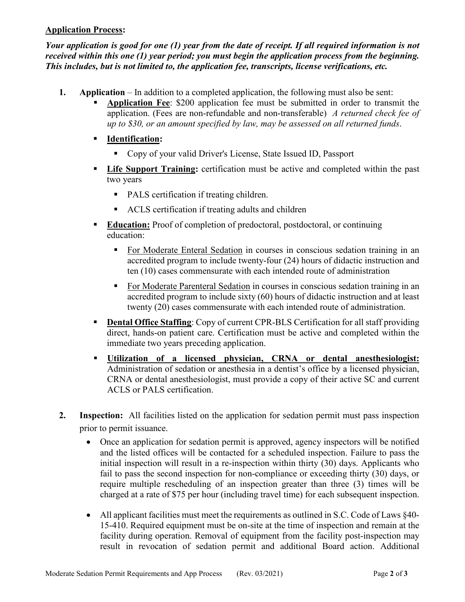### **Application Process:**

*Your application is good for one (1) year from the date of receipt. If all required information is not received within this one (1) year period; you must begin the application process from the beginning. This includes, but is not limited to, the application fee, transcripts, license verifications, etc.* 

- **1. Application** In addition to a completed application, the following must also be sent:
	- **Application Fee**: \$200 application fee must be submitted in order to transmit the application. (Fees are non-refundable and non-transferable) *A returned check fee of up to \$30, or an amount specified by law, may be assessed on all returned funds*.
	- **Identification:** 
		- Copy of your valid Driver's License, State Issued ID, Passport
	- **Life Support Training:** certification must be active and completed within the past two years
		- PALS certification if treating children.
		- ACLS certification if treating adults and children
	- **Education:** Proof of completion of predoctoral, postdoctoral, or continuing education:
		- For Moderate Enteral Sedation in courses in conscious sedation training in an accredited program to include twenty-four (24) hours of didactic instruction and ten (10) cases commensurate with each intended route of administration
		- For Moderate Parenteral Sedation in courses in conscious sedation training in an accredited program to include sixty (60) hours of didactic instruction and at least twenty (20) cases commensurate with each intended route of administration.
	- **Dental Office Staffing:** Copy of current CPR-BLS Certification for all staff providing direct, hands-on patient care. Certification must be active and completed within the immediate two years preceding application.
	- **Utilization of a licensed physician, CRNA or dental anesthesiologist:** Administration of sedation or anesthesia in a dentist's office by a licensed physician, CRNA or dental anesthesiologist, must provide a copy of their active SC and current ACLS or PALS certification.
- **2. Inspection:** All facilities listed on the application for sedation permit must pass inspection prior to permit issuance.
	- Once an application for sedation permit is approved, agency inspectors will be notified and the listed offices will be contacted for a scheduled inspection. Failure to pass the initial inspection will result in a re-inspection within thirty (30) days. Applicants who fail to pass the second inspection for non-compliance or exceeding thirty (30) days, or require multiple rescheduling of an inspection greater than three (3) times will be charged at a rate of \$75 per hour (including travel time) for each subsequent inspection.
	- All applicant facilities must meet the requirements as outlined in S.C. Code of Laws §40-15-410. Required equipment must be on-site at the time of inspection and remain at the facility during operation. Removal of equipment from the facility post-inspection may result in revocation of sedation permit and additional Board action. Additional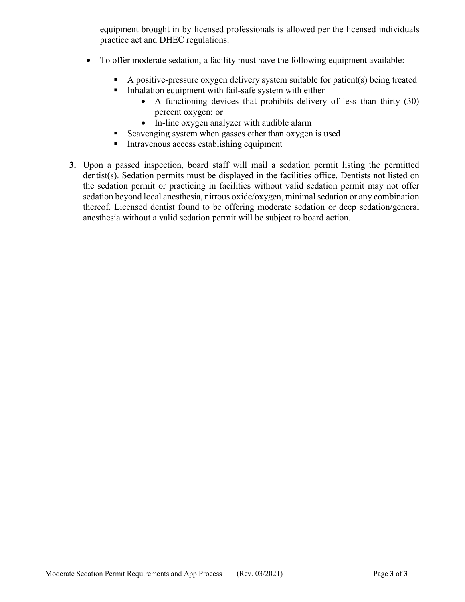equipment brought in by licensed professionals is allowed per the licensed individuals practice act and DHEC regulations.

- To offer moderate sedation, a facility must have the following equipment available:
	- A positive-pressure oxygen delivery system suitable for patient(s) being treated
	- **Inhalation equipment with fail-safe system with either** 
		- A functioning devices that prohibits delivery of less than thirty (30) percent oxygen; or
		- In-line oxygen analyzer with audible alarm
	- Scavenging system when gasses other than oxygen is used
	- Intravenous access establishing equipment
- **3.** Upon a passed inspection, board staff will mail a sedation permit listing the permitted dentist(s). Sedation permits must be displayed in the facilities office. Dentists not listed on the sedation permit or practicing in facilities without valid sedation permit may not offer sedation beyond local anesthesia, nitrous oxide/oxygen, minimal sedation or any combination thereof. Licensed dentist found to be offering moderate sedation or deep sedation/general anesthesia without a valid sedation permit will be subject to board action.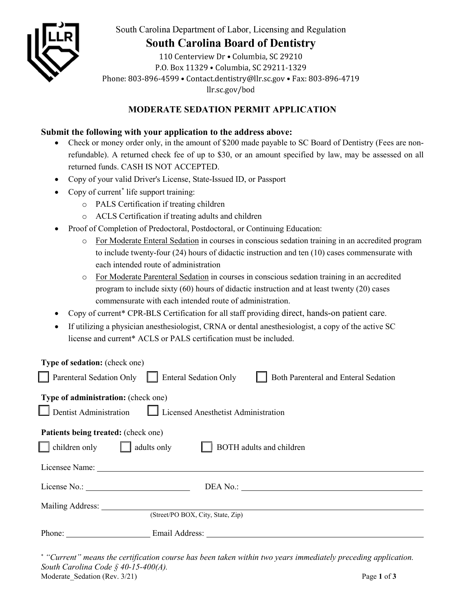

South Carolina Department of Labor, Licensing and Regulation

# **South Carolina Board of Dentistry**

110 Centerview Dr . Columbia, SC 29210 P.O. Box 11329 . Columbia, SC 29211-1329 Phone: 803-896-4599 • Contact.dentistry@llr.sc.gov • Fax: 803-896-4719 llr.sc.gov/bod

## **MODERATE SEDATION PERMIT APPLICATION**

### **Submit the following with your application to the address above:**

- Check or money order only, in the amount of \$200 made payable to SC Board of Dentistry (Fees are nonrefundable). A returned check fee of up to \$30, or an amount specified by law, may be assessed on all returned funds. CASH IS NOT ACCEPTED.
- Copy of your valid Driver's License, State-Issued ID, or Passport
- Copy of current<sup>[\\*](#page-3-0)</sup> life support training:
	- o PALS Certification if treating children
	- o ACLS Certification if treating adults and children
- Proof of Completion of Predoctoral, Postdoctoral, or Continuing Education:
	- o For Moderate Enteral Sedation in courses in conscious sedation training in an accredited program to include twenty-four (24) hours of didactic instruction and ten (10) cases commensurate with each intended route of administration
	- o For Moderate Parenteral Sedation in courses in conscious sedation training in an accredited program to include sixty (60) hours of didactic instruction and at least twenty (20) cases commensurate with each intended route of administration.
- Copy of current\* CPR-BLS Certification for all staff providing direct, hands-on patient care.
- If utilizing a physician anesthesiologist, CRNA or dental anesthesiologist, a copy of the active SC license and current\* ACLS or PALS certification must be included.

| <b>Type of sedation:</b> (check one)                                                             |
|--------------------------------------------------------------------------------------------------|
| Parenteral Sedation Only<br><b>Enteral Sedation Only</b><br>Both Parenteral and Enteral Sedation |
| Type of administration: (check one)                                                              |
| Dentist Administration $\Box$ Licensed Anesthetist Administration                                |
| <b>Patients being treated:</b> (check one)                                                       |
| children only<br>adults only<br><b>BOTH</b> adults and children                                  |
|                                                                                                  |
|                                                                                                  |
| Mailing Address:                                                                                 |
| (Street/PO BOX, City, State, Zip)                                                                |
| Phone:                                                                                           |
|                                                                                                  |

<span id="page-3-0"></span>Moderate Sedation (Rev. 3/21) Page 1 of **3** \* *"Current" means the certification course has been taken within two years immediately preceding application. South Carolina Code § 40-15-400(A).*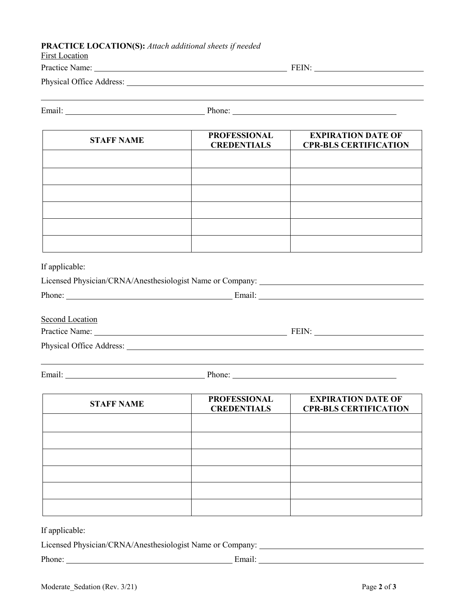#### **PRACTICE LOCATION(S):** *Attach additional sheets if needed*

| <b>First Location</b>    |       |
|--------------------------|-------|
| Practice Name:           | FEIN: |
| Physical Office Address: |       |
|                          |       |

| $\overline{\phantom{a}}$<br>$\bullet$ |  |
|---------------------------------------|--|
|                                       |  |

| none |  |
|------|--|
|      |  |

| <b>STAFF NAME</b> | <b>PROFESSIONAL</b><br><b>CREDENTIALS</b> | <b>EXPIRATION DATE OF</b><br><b>CPR-BLS CERTIFICATION</b> |
|-------------------|-------------------------------------------|-----------------------------------------------------------|
|                   |                                           |                                                           |
|                   |                                           |                                                           |
|                   |                                           |                                                           |
|                   |                                           |                                                           |
|                   |                                           |                                                           |
|                   |                                           |                                                           |

If applicable:

| Licensed Physician/CRNA/Anesthesiologist Name or Company: |        |  |  |
|-----------------------------------------------------------|--------|--|--|
| Phone:                                                    | Email: |  |  |
|                                                           |        |  |  |
| Second Location                                           |        |  |  |

Practice Name: FEIN:

Physical Office Address: Universe of the Address:

Email: Phone: Phone: Phone: Phone: Phone: Phone: Phone: Phone: Phone: Phone: Phone: Phone: Phone: Phone: Phone: Phone: Phone: Phone: Phone: Phone: Phone: Phone: Phone: Phone: Phone: Phone: Phone: Phone: Phone: Phone: Phone

| <b>STAFF NAME</b> | <b>PROFESSIONAL</b><br><b>CREDENTIALS</b> | <b>EXPIRATION DATE OF</b><br><b>CPR-BLS CERTIFICATION</b> |
|-------------------|-------------------------------------------|-----------------------------------------------------------|
|                   |                                           |                                                           |
|                   |                                           |                                                           |
|                   |                                           |                                                           |
|                   |                                           |                                                           |
|                   |                                           |                                                           |
|                   |                                           |                                                           |

If applicable:

Licensed Physician/CRNA/Anesthesiologist Name or Company:

Phone: Email: